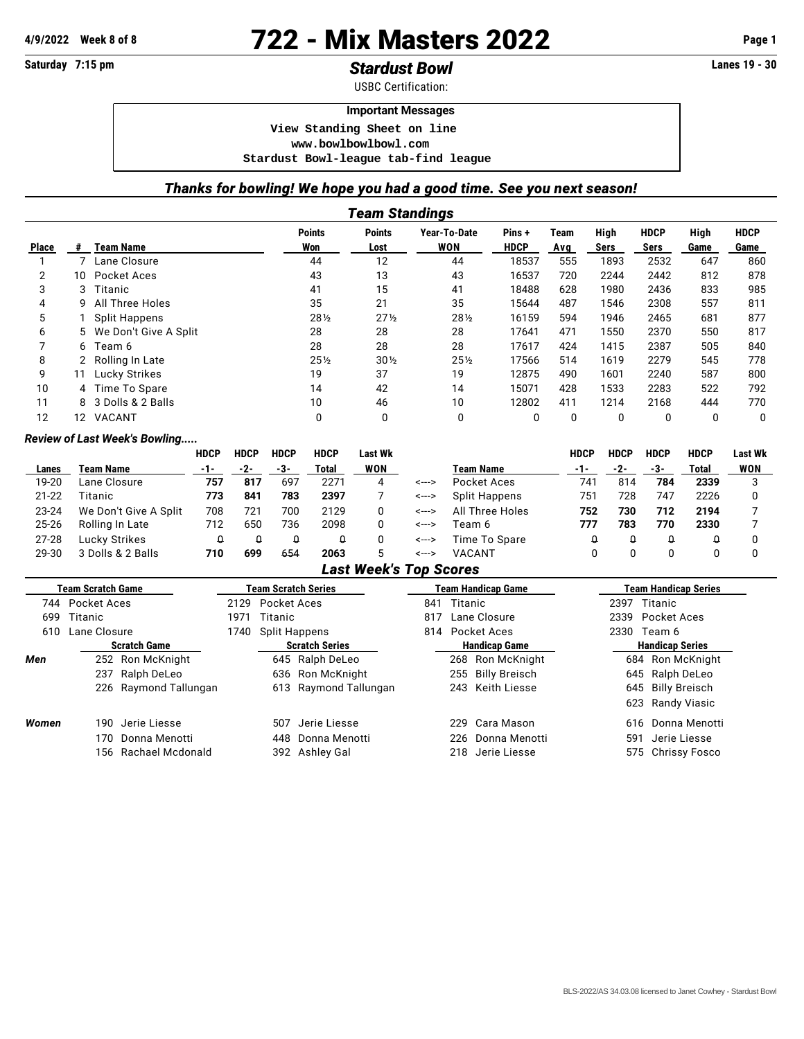# **4/9/2022 Week 8 of 8** 722 - Mix Masters 2022 **Page 1**

# **Saturday 7:15 pm** *Stardust Bowl* **Lanes 19 - 30**

USBC Certification:

#### **Important Messages**

 **View Standing Sheet on line <www.bowlbowlbowl.com>**

 **Stardust Bowl-league tab-find league**

### *Thanks for bowling! We hope you had a good time. See you next season!*

|                                                                                                               | Team Standings  |                         |        |                 |            |             |     |      |      |      |          |  |  |
|---------------------------------------------------------------------------------------------------------------|-----------------|-------------------------|--------|-----------------|------------|-------------|-----|------|------|------|----------|--|--|
| <b>Points</b><br><b>Points</b><br>High<br>Year-To-Date<br><b>HDCP</b><br>High<br><b>HDCP</b><br>Pins+<br>Team |                 |                         |        |                 |            |             |     |      |      |      |          |  |  |
| <b>Place</b>                                                                                                  | #               | <b>Team Name</b>        | Won    | Lost            | <b>WON</b> | <b>HDCP</b> | Avg | Sers | Sers | Game | Game     |  |  |
|                                                                                                               |                 | Lane Closure            | 44     | 12              | 44         | 18537       | 555 | 1893 | 2532 | 647  | 860      |  |  |
| 2                                                                                                             | 10 <sup>1</sup> | Pocket Aces             | 43     | 13              | 43         | 16537       | 720 | 2244 | 2442 | 812  | 878      |  |  |
| 3                                                                                                             | 3               | Titanic                 | 41     | 15              | 41         | 18488       | 628 | 1980 | 2436 | 833  | 985      |  |  |
| 4                                                                                                             | 9               | All Three Holes         | 35     | 21              | 35         | 15644       | 487 | 1546 | 2308 | 557  | 811      |  |  |
| 5                                                                                                             |                 | <b>Split Happens</b>    | 281/2  | $27\frac{1}{2}$ | 281/2      | 16159       | 594 | 1946 | 2465 | 681  | 877      |  |  |
| 6                                                                                                             |                 | 5 We Don't Give A Split | 28     | 28              | 28         | 17641       | 471 | 1550 | 2370 | 550  | 817      |  |  |
|                                                                                                               | 6               | Team 6                  | 28     | 28              | 28         | 17617       | 424 | 1415 | 2387 | 505  | 840      |  |  |
| 8                                                                                                             |                 | Rolling In Late         | $25\%$ | $30\%$          | $25\%$     | 17566       | 514 | 1619 | 2279 | 545  | 778      |  |  |
| 9                                                                                                             |                 | Lucky Strikes           | 19     | 37              | 19         | 12875       | 490 | 1601 | 2240 | 587  | 800      |  |  |
| 10                                                                                                            |                 | 4 Time To Spare         | 14     | 42              | 14         | 15071       | 428 | 1533 | 2283 | 522  | 792      |  |  |
| 11                                                                                                            |                 | 8 3 Dolls & 2 Balls     | 10     | 46              | 10         | 12802       | 411 | 1214 | 2168 | 444  | 770      |  |  |
| 12                                                                                                            | 12              | VACANT                  | 0      | 0               | 0          | 0           | 0   | 0    | 0    | 0    | $\Omega$ |  |  |

#### *Review of Last Week's Bowling.....*

|           |                       | <b>HDCP</b> | <b>HDCP</b> | <b>HDCP</b> | <b>HDCP</b> | Last Wk    |                  |                 | HDCP | HDCP | <b>HDCP</b> | <b>HDCP</b> | <b>Last Wk</b> |
|-----------|-----------------------|-------------|-------------|-------------|-------------|------------|------------------|-----------------|------|------|-------------|-------------|----------------|
| Lanes     | Team Name             | $-1-$       | -2-         | -3-         | Total       | <b>WON</b> | <b>Team Name</b> |                 | -1-  | -2-  | -3-         | Total       | WON            |
| 19-20     | Lane Closure          | 757         | 817         | 697         | 2271        | 4          | <--->            | Pocket Aces     | 741  | 814  | 784         | 2339        |                |
| $21 - 22$ | Titanic               | 773         | 841         | 783         | 2397        |            | <--->            | Split Happens   | 751  | 728  | 747         | 2226        |                |
| $23 - 24$ | We Don't Give A Split | 708         | 721         | 700         | 2129        |            | <--->            | All Three Holes | 752  | 730  | 712         | 2194        |                |
| $25 - 26$ | Rolling In Late       | 712         | 650         | 736         | 2098        |            | <--->            | Team 6          | 777  | 783  | 770         | 2330        |                |
| $27 - 28$ | Lucky Strikes         |             |             | Û           |             |            | <--->            | Time To Spare   |      |      |             |             |                |
| 29-30     | 3 Dolls & 2 Balls     | 710         | 699         | 654         | 2063        | 5          | <--->            | <b>VACANT</b>   |      |      |             |             |                |

## *Last Week's Top Scores*

|       | <b>Team Scratch Game</b> |                       |      |                       | Team Scratch Series   |     |                      | <b>Team Handicap Game</b> | Team Handicap Series   |                   |  |
|-------|--------------------------|-----------------------|------|-----------------------|-----------------------|-----|----------------------|---------------------------|------------------------|-------------------|--|
|       | 744 Pocket Aces          |                       |      | 2129 Pocket Aces      |                       | 841 | Titanic              |                           | 2397                   | Titanic           |  |
| 699   | Titanic                  |                       | 1971 | Titanic               |                       | 817 | Lane Closure         |                           |                        | 2339 Pocket Aces  |  |
| 610   | Lane Closure             |                       |      | Split Happens         |                       |     |                      | 814 Pocket Aces           | 2330 Team 6            |                   |  |
|       | <b>Scratch Game</b>      |                       |      | <b>Scratch Series</b> |                       |     | <b>Handicap Game</b> |                           | <b>Handicap Series</b> |                   |  |
| Men   |                          | 252 Ron McKnight      |      |                       | 645 Ralph DeLeo       |     |                      | 268 Ron McKnight          |                        | 684 Ron McKnight  |  |
|       |                          | 237 Ralph DeLeo       |      |                       | 636 Ron McKnight      |     |                      | 255 Billy Breisch         |                        | 645 Ralph DeLeo   |  |
|       |                          | 226 Raymond Tallungan |      |                       | 613 Raymond Tallungan |     |                      | 243 Keith Liesse          |                        | 645 Billy Breisch |  |
|       |                          |                       |      |                       |                       |     |                      |                           |                        | 623 Randy Viasic  |  |
| Women |                          | 190 Jerie Liesse      |      | 507                   | Jerie Liesse          |     |                      | 229 Cara Mason            |                        | 616 Donna Menotti |  |
|       |                          | 170 Donna Menotti     |      |                       | 448 Donna Menotti     |     |                      | 226 Donna Menotti         | 591                    | Jerie Liesse      |  |
|       |                          | 156 Rachael Mcdonald  |      |                       | 392 Ashley Gal        |     |                      | 218 Jerie Liesse          |                        | 575 Chrissy Fosco |  |
|       |                          |                       |      |                       |                       |     |                      |                           |                        |                   |  |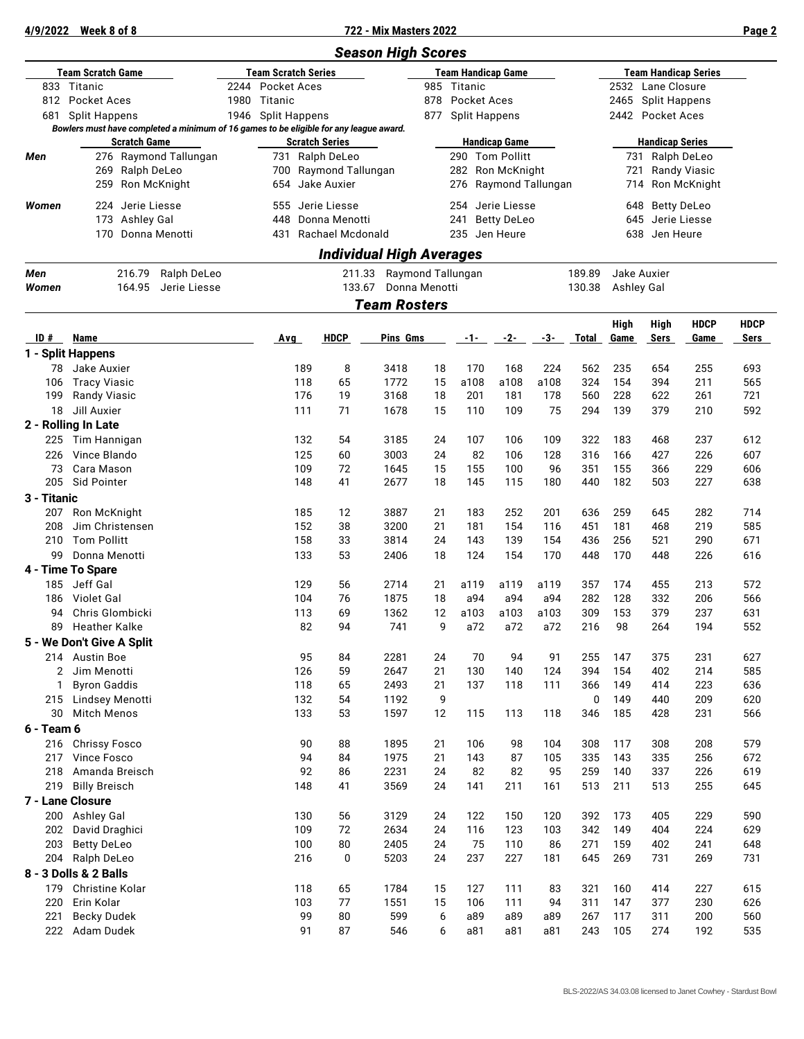**4/9/2022 Week 8 of 8 722 - Mix Masters 2022 Page 2**

|             |                                                                                        |      |                            |                                 | <b>Season High Scores</b> |                           |                      |                                           |             |              |              |                             |                                 |                     |  |  |
|-------------|----------------------------------------------------------------------------------------|------|----------------------------|---------------------------------|---------------------------|---------------------------|----------------------|-------------------------------------------|-------------|--------------|--------------|-----------------------------|---------------------------------|---------------------|--|--|
|             | <b>Team Scratch Game</b>                                                               |      | <b>Team Scratch Series</b> |                                 |                           | <b>Team Handicap Game</b> |                      |                                           |             |              |              | <b>Team Handicap Series</b> |                                 |                     |  |  |
| 833         | Titanic                                                                                |      | 2244 Pocket Aces           |                                 |                           | 985                       | Titanic              |                                           |             |              |              | 2532 Lane Closure           |                                 |                     |  |  |
|             | 812 Pocket Aces                                                                        | 1980 | Titanic                    |                                 |                           | 878                       | <b>Pocket Aces</b>   |                                           |             |              |              | 2465 Split Happens          |                                 |                     |  |  |
| 681         | <b>Split Happens</b>                                                                   | 1946 | Split Happens              |                                 |                           | 877                       | <b>Split Happens</b> |                                           |             |              |              | 2442 Pocket Aces            |                                 |                     |  |  |
|             | Bowlers must have completed a minimum of 16 games to be eligible for any league award. |      |                            |                                 |                           |                           |                      |                                           |             |              |              |                             |                                 |                     |  |  |
|             | <b>Scratch Game</b>                                                                    |      |                            | <b>Scratch Series</b>           |                           |                           |                      | <b>Handicap Game</b>                      |             |              |              | <b>Handicap Series</b>      |                                 |                     |  |  |
| Men         | 276 Raymond Tallungan                                                                  |      |                            | 731 Ralph DeLeo                 |                           |                           |                      | 290 Tom Pollitt                           |             |              |              | 731 Ralph DeLeo             |                                 |                     |  |  |
|             | 269<br>Ralph DeLeo<br>259<br>Ron McKnight                                              |      | 654 Jake Auxier            | 700 Raymond Tallungan           |                           |                           |                      | 282 Ron McKnight<br>276 Raymond Tallungan |             |              | 721          |                             | Randy Viasic                    |                     |  |  |
|             |                                                                                        |      |                            |                                 |                           |                           |                      |                                           |             |              | 714          |                             | Ron McKnight<br>648 Betty DeLeo |                     |  |  |
| Women       | 224 Jerie Liesse                                                                       |      | 555 Jerie Liesse           |                                 |                           |                           |                      | 254 Jerie Liesse                          |             |              |              |                             |                                 |                     |  |  |
|             | 173<br>Ashley Gal                                                                      |      | 448                        | Donna Menotti                   |                           |                           | 241                  | <b>Betty DeLeo</b>                        |             |              |              | 645 Jerie Liesse            |                                 |                     |  |  |
|             | Donna Menotti<br>170                                                                   |      | 431                        | Rachael Mcdonald                |                           |                           | 235 Jen Heure        |                                           |             |              |              | 638 Jen Heure               |                                 |                     |  |  |
|             |                                                                                        |      |                            | <b>Individual High Averages</b> |                           |                           |                      |                                           |             |              |              |                             |                                 |                     |  |  |
| Men         | 216.79<br>Ralph DeLeo                                                                  |      |                            | 211.33                          |                           | Raymond Tallungan         |                      |                                           |             | 189.89       |              | Jake Auxier                 |                                 |                     |  |  |
| Women       | 164.95<br>Jerie Liesse                                                                 |      |                            | 133.67                          |                           | Donna Menotti             |                      |                                           |             | 130.38       | Ashley Gal   |                             |                                 |                     |  |  |
|             |                                                                                        |      |                            |                                 | <b>Team Rosters</b>       |                           |                      |                                           |             |              |              |                             |                                 |                     |  |  |
| ID#         | <b>Name</b>                                                                            |      | Avg                        | <b>HDCP</b>                     | Pins Gms                  |                           | -1-                  | $-2-$                                     | -3-         | <b>Total</b> | High<br>Game | High<br><b>Sers</b>         | <b>HDCP</b><br>Game             | <b>HDCP</b><br>Sers |  |  |
|             | 1 - Split Happens                                                                      |      |                            |                                 |                           |                           |                      |                                           |             |              |              |                             |                                 |                     |  |  |
| 78          | Jake Auxier                                                                            |      | 189                        | 8                               | 3418                      | 18                        | 170                  | 168                                       | 224         | 562          | 235          | 654                         | 255                             | 693                 |  |  |
| 106         | <b>Tracy Viasic</b>                                                                    |      | 118                        | 65                              | 1772                      | 15                        | a108                 | a108                                      | a108        | 324          | 154          | 394                         | 211                             | 565                 |  |  |
| 199         | Randy Viasic                                                                           |      | 176                        | 19                              | 3168                      | 18                        | 201                  | 181                                       | 178         | 560          | 228          | 622                         | 261                             | 721                 |  |  |
| 18          | Jill Auxier                                                                            |      | 111                        | 71                              | 1678                      | 15                        | 110                  | 109                                       | 75          | 294          | 139          | 379                         | 210                             | 592                 |  |  |
|             | 2 - Rolling In Late                                                                    |      |                            |                                 |                           |                           |                      |                                           |             |              |              |                             |                                 |                     |  |  |
| 225         | Tim Hannigan                                                                           |      | 132                        | 54                              | 3185                      | 24                        | 107                  | 106                                       | 109         | 322          | 183          | 468                         | 237                             | 612                 |  |  |
| 226         | Vince Blando                                                                           |      | 125                        | 60                              | 3003                      | 24                        | 82                   | 106                                       | 128         | 316          | 166          | 427                         | 226                             | 607                 |  |  |
| 73          | Cara Mason                                                                             |      | 109                        | 72                              | 1645                      | 15                        | 155                  | 100                                       | 96          | 351          | 155          | 366                         | 229                             | 606                 |  |  |
| 205         | Sid Pointer                                                                            |      | 148                        | 41                              | 2677                      | 18                        | 145                  | 115                                       | 180         | 440          | 182          | 503                         | 227                             | 638                 |  |  |
| 3 - Titanic |                                                                                        |      |                            |                                 |                           |                           |                      |                                           |             |              |              |                             |                                 |                     |  |  |
| 207         | Ron McKnight                                                                           |      | 185                        | 12                              | 3887                      | 21                        | 183                  | 252                                       | 201         | 636          | 259          | 645                         | 282                             | 714                 |  |  |
| 208         | Jim Christensen                                                                        |      | 152                        | 38                              | 3200                      | 21                        | 181                  | 154                                       | 116         | 451          | 181          | 468                         | 219                             | 585                 |  |  |
| 210         | <b>Tom Pollitt</b>                                                                     |      | 158                        | 33                              | 3814                      | 24                        | 143                  | 139                                       | 154         | 436          | 256          | 521                         | 290                             | 671                 |  |  |
| 99          | Donna Menotti                                                                          |      | 133                        | 53                              | 2406                      | 18                        | 124                  | 154                                       | 170         | 448          | 170          | 448                         | 226                             | 616                 |  |  |
|             | 4 - Time To Spare                                                                      |      |                            |                                 |                           |                           |                      |                                           |             |              |              |                             |                                 |                     |  |  |
| 185<br>186  | Jeff Gal<br>Violet Gal                                                                 |      | 129<br>104                 | 56<br>76                        | 2714<br>1875              | 21<br>18                  | a119<br>a94          | a119<br>a94                               | a119<br>a94 | 357<br>282   | 174<br>128   | 455<br>332                  | 213<br>206                      | 572<br>566          |  |  |
| 94          | Chris Glombicki                                                                        |      | 113                        | 69                              | 1362                      | 12                        | a103                 | a103                                      | a103        | 309          | 153          | 379                         | 237                             | 631                 |  |  |
| 89          | Heather Kalke                                                                          |      | 82                         | 94                              | 741                       | q                         | a72                  | a72                                       | a72         | 216          | 98           | 264                         | 194                             | 552                 |  |  |
|             | 5 - We Don't Give A Split                                                              |      |                            |                                 |                           |                           |                      |                                           |             |              |              |                             |                                 |                     |  |  |
|             | 214 Austin Boe                                                                         |      | 95                         | 84                              | 2281                      | 24                        | 70                   | 94                                        | 91          | 255          | 147          | 375                         | 231                             | 627                 |  |  |
|             | 2 Jim Menotti                                                                          |      | 126                        | 59                              | 2647                      | 21                        | 130                  | 140                                       | 124         | 394          | 154          | 402                         | 214                             | 585                 |  |  |
| 1           | <b>Byron Gaddis</b>                                                                    |      | 118                        | 65                              | 2493                      | 21                        | 137                  | 118                                       | 111         | 366          | 149          | 414                         | 223                             | 636                 |  |  |
|             | 215 Lindsey Menotti                                                                    |      | 132                        | 54                              | 1192                      | 9                         |                      |                                           |             | $\mathbf 0$  | 149          | 440                         | 209                             | 620                 |  |  |
| 30          | <b>Mitch Menos</b>                                                                     |      | 133                        | 53                              | 1597                      | 12                        | 115                  | 113                                       | 118         | 346          | 185          | 428                         | 231                             | 566                 |  |  |
| 6 - Team 6  |                                                                                        |      |                            |                                 |                           |                           |                      |                                           |             |              |              |                             |                                 |                     |  |  |
|             | 216 Chrissy Fosco                                                                      |      | 90                         | 88                              | 1895                      | 21                        | 106                  | 98                                        | 104         | 308          | 117          | 308                         | 208                             | 579                 |  |  |
| 217         | Vince Fosco                                                                            |      | 94                         | 84                              | 1975                      | 21                        | 143                  | 87                                        | 105         | 335          | 143          | 335                         | 256                             | 672                 |  |  |
| 218         | Amanda Breisch                                                                         |      | 92                         | 86                              | 2231                      | 24                        | 82                   | 82                                        | 95          | 259          | 140          | 337                         | 226                             | 619                 |  |  |
| 219         | <b>Billy Breisch</b>                                                                   |      | 148                        | 41                              | 3569                      | 24                        | 141                  | 211                                       | 161         | 513          | 211          | 513                         | 255                             | 645                 |  |  |
|             | 7 - Lane Closure                                                                       |      |                            |                                 |                           |                           |                      |                                           |             |              |              |                             |                                 |                     |  |  |
|             | 200 Ashley Gal                                                                         |      | 130                        | 56                              | 3129                      | 24                        | 122                  | 150                                       | 120         | 392          | 173          | 405                         | 229                             | 590                 |  |  |
| 202         | David Draghici                                                                         |      | 109                        | 72                              | 2634                      | 24                        | 116                  | 123                                       | 103         | 342          | 149          | 404                         | 224                             | 629                 |  |  |
| 203         | <b>Betty DeLeo</b>                                                                     |      | 100                        | 80                              | 2405                      | 24                        | 75                   | 110                                       | 86          | 271          | 159          | 402                         | 241                             | 648                 |  |  |
| 204         | Ralph DeLeo                                                                            |      | 216                        | $\mathbf 0$                     | 5203                      | 24                        | 237                  | 227                                       | 181         | 645          | 269          | 731                         | 269                             | 731                 |  |  |
|             | 8 - 3 Dolls & 2 Balls                                                                  |      |                            |                                 |                           |                           |                      |                                           |             |              |              |                             |                                 |                     |  |  |
| 179         | Christine Kolar                                                                        |      | 118                        | 65                              | 1784                      | 15                        | 127                  | 111                                       | 83          | 321          | 160          | 414                         | 227                             | 615                 |  |  |
| 220<br>221  | Erin Kolar                                                                             |      | 103<br>99                  | 77<br>80                        | 1551<br>599               | 15<br>6                   | 106<br>a89           | 111<br>a89                                | 94<br>a89   | 311<br>267   | 147<br>117   | 377<br>311                  | 230<br>200                      | 626<br>560          |  |  |
| 222         | <b>Becky Dudek</b><br>Adam Dudek                                                       |      | 91                         | 87                              | 546                       | 6                         |                      | a81                                       | a81         | 243          | 105          | 274                         | 192                             | 535                 |  |  |
|             |                                                                                        |      |                            |                                 |                           |                           | a81                  |                                           |             |              |              |                             |                                 |                     |  |  |